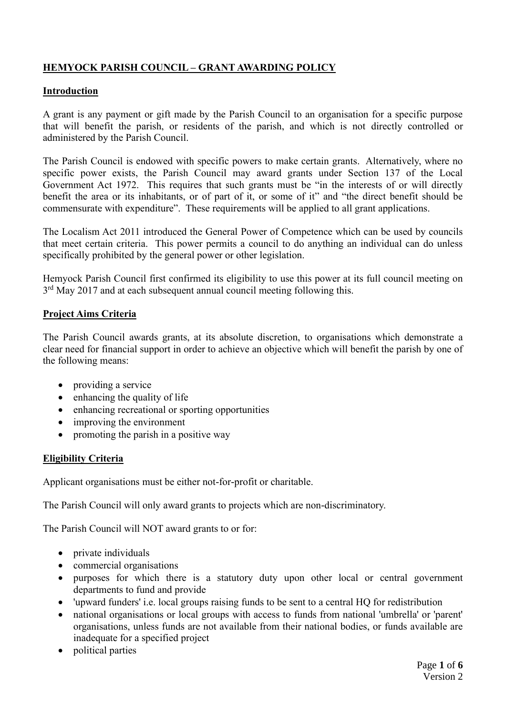## **HEMYOCK PARISH COUNCIL – GRANT AWARDING POLICY**

### **Introduction**

A grant is any payment or gift made by the Parish Council to an organisation for a specific purpose that will benefit the parish, or residents of the parish, and which is not directly controlled or administered by the Parish Council.

The Parish Council is endowed with specific powers to make certain grants. Alternatively, where no specific power exists, the Parish Council may award grants under Section 137 of the Local Government Act 1972. This requires that such grants must be "in the interests of or will directly benefit the area or its inhabitants, or of part of it, or some of it" and "the direct benefit should be commensurate with expenditure". These requirements will be applied to all grant applications.

The Localism Act 2011 introduced the General Power of Competence which can be used by councils that meet certain criteria. This power permits a council to do anything an individual can do unless specifically prohibited by the general power or other legislation.

Hemyock Parish Council first confirmed its eligibility to use this power at its full council meeting on 3<sup>rd</sup> May 2017 and at each subsequent annual council meeting following this.

### **Project Aims Criteria**

The Parish Council awards grants, at its absolute discretion, to organisations which demonstrate a clear need for financial support in order to achieve an objective which will benefit the parish by one of the following means:

- providing a service
- enhancing the quality of life
- enhancing recreational or sporting opportunities
- improving the environment
- promoting the parish in a positive way

## **Eligibility Criteria**

Applicant organisations must be either not-for-profit or charitable.

The Parish Council will only award grants to projects which are non-discriminatory.

The Parish Council will NOT award grants to or for:

- private individuals
- commercial organisations
- purposes for which there is a statutory duty upon other local or central government departments to fund and provide
- 'upward funders' i.e. local groups raising funds to be sent to a central HQ for redistribution
- national organisations or local groups with access to funds from national 'umbrella' or 'parent' organisations, unless funds are not available from their national bodies, or funds available are inadequate for a specified project
- political parties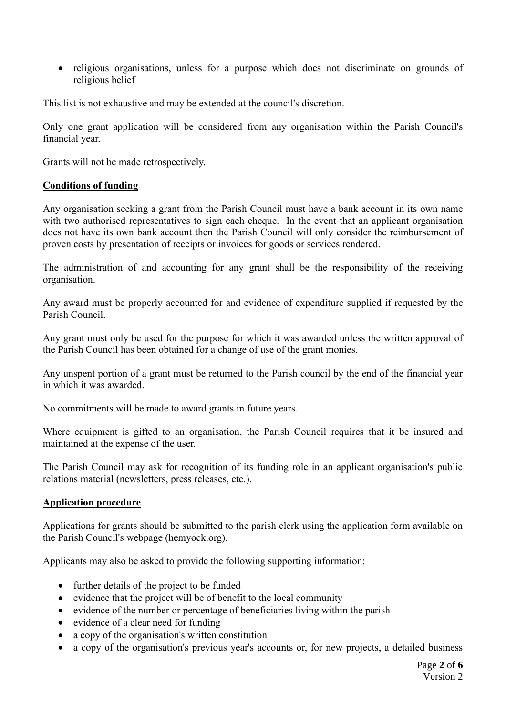• religious organisations, unless for a purpose which does not discriminate on grounds of religious belief

This list is not exhaustive and may be extended at the council's discretion.

Only one grant application will be considered from any organisation within the Parish Council's financial year.

Grants will not be made retrospectively.

### **Conditions of funding**

Any organisation seeking a grant from the Parish Council must have a bank account in its own name with two authorised representatives to sign each cheque. In the event that an applicant organisation does not have its own bank account then the Parish Council will only consider the reimbursement of proven costs by presentation of receipts or invoices for goods or services rendered.

The administration of and accounting for any grant shall be the responsibility of the receiving organisation.

Any award must be properly accounted for and evidence of expenditure supplied if requested by the Parish Council.

Any grant must only be used for the purpose for which it was awarded unless the written approval of the Parish Council has been obtained for a change of use of the grant monies.

Any unspent portion of a grant must be returned to the Parish council by the end of the financial year in which it was awarded.

No commitments will be made to award grants in future years.

Where equipment is gifted to an organisation, the Parish Council requires that it be insured and maintained at the expense of the user.

The Parish Council may ask for recognition of its funding role in an applicant organisation's public relations material (newsletters, press releases, etc.).

#### **Application procedure**

Applications for grants should be submitted to the parish clerk using the application form available on the Parish Council's webpage (hemyock.org).

Applicants may also be asked to provide the following supporting information:

- further details of the project to be funded
- evidence that the project will be of benefit to the local community
- evidence of the number or percentage of beneficiaries living within the parish
- evidence of a clear need for funding
- a copy of the organisation's written constitution
- a copy of the organisation's previous year's accounts or, for new projects, a detailed business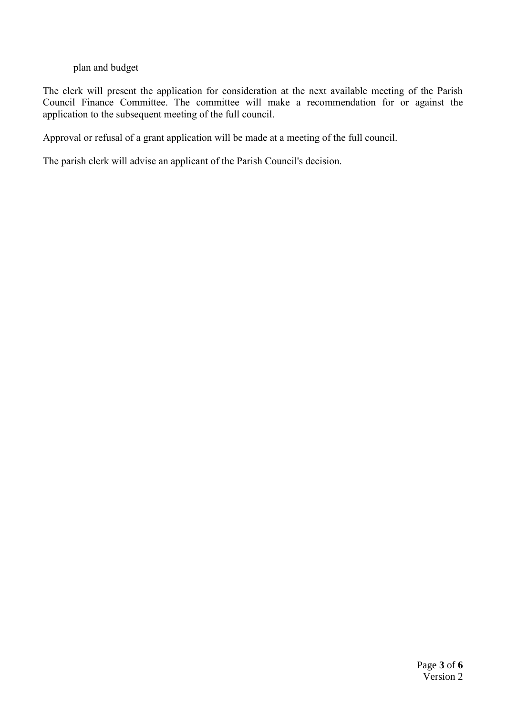### plan and budget

The clerk will present the application for consideration at the next available meeting of the Parish Council Finance Committee. The committee will make a recommendation for or against the application to the subsequent meeting of the full council.

Approval or refusal of a grant application will be made at a meeting of the full council.

The parish clerk will advise an applicant of the Parish Council's decision.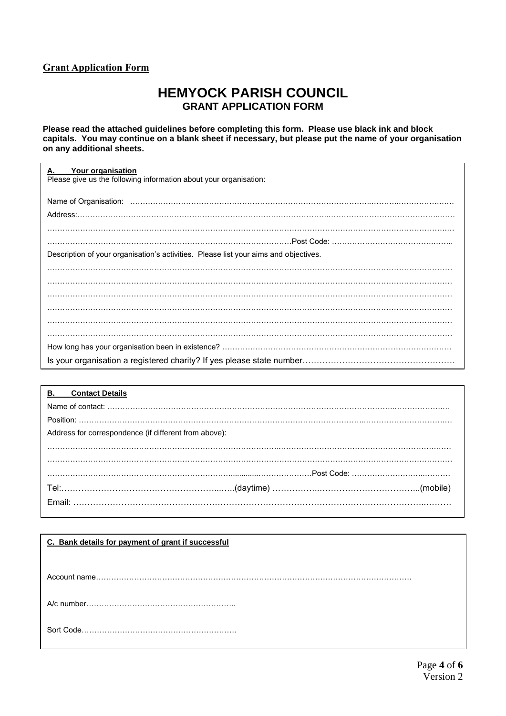### **Grant Application Form**

# **HEMYOCK PARISH COUNCIL GRANT APPLICATION FORM**

**Please read the attached guidelines before completing this form. Please use black ink and block capitals. You may continue on a blank sheet if necessary, but please put the name of your organisation on any additional sheets.**

| Your organisation<br>А.<br>Please give us the following information about your organisation: |
|----------------------------------------------------------------------------------------------|
|                                                                                              |
|                                                                                              |
|                                                                                              |
|                                                                                              |
| Description of your organisation's activities. Please list your aims and objectives.         |
|                                                                                              |
|                                                                                              |
|                                                                                              |
|                                                                                              |
|                                                                                              |
|                                                                                              |
|                                                                                              |
|                                                                                              |

| <b>B.</b> Contact Details                             |  |
|-------------------------------------------------------|--|
|                                                       |  |
|                                                       |  |
| Address for correspondence (if different from above): |  |
|                                                       |  |
|                                                       |  |
|                                                       |  |
|                                                       |  |
|                                                       |  |
|                                                       |  |

| C. Bank details for payment of grant if successful |
|----------------------------------------------------|
|                                                    |
|                                                    |
|                                                    |
|                                                    |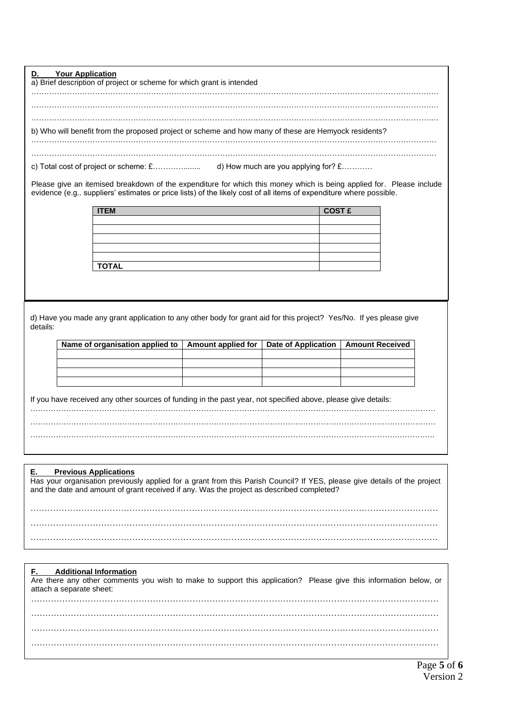**D. Your Application** a) Brief description of project or scheme for which grant is intended …………………………………………………………………………………………………………………………………….……… ………………………………………………………………………………………………………………………………………….… ………………………………………………………………………………………………………………………………………….… b) Who will benefit from the proposed project or scheme and how many of these are Hemyock residents? …………………………………………………………………………………………………………………………………………… …………………………………………………………………………………………………………………………………………… c) Total cost of project or scheme: £…………........ d) How much are you applying for? £………… Please give an itemised breakdown of the expenditure for which this money which is being applied for. Please include evidence (e.g.. suppliers' estimates or price lists) of the likely cost of all items of expenditure where possible. **ITEM** COST £ **TOTAL** d) Have you made any grant application to any other body for grant aid for this project? Yes/No. If yes please give details: **Name of organisation applied to | Amount applied for | Date of Application | Amount Received** If you have received any other sources of funding in the past year, not specified above, please give details: …………………………………………………………………………………………………………………………………………… ……………………………………………………………………………………………………………………………….……….….

| <b>Previous Applications</b><br>E.                                                                                        |
|---------------------------------------------------------------------------------------------------------------------------|
| Has your organisation previously applied for a grant from this Parish Council? If YES, please give details of the project |
| and the date and amount of grant received if any. Was the project as described completed?                                 |
|                                                                                                                           |
|                                                                                                                           |
|                                                                                                                           |
|                                                                                                                           |
|                                                                                                                           |
|                                                                                                                           |

#### **F. Additional Information**

Are there any other comments you wish to make to support this application? Please give this information below, or attach a separate sheet: ……………………………………………………………………………………………………………………………… ……………………………………………………………………………………………………………………………… ……………………………………………………………………………………………………………………………… ………………………………………………………………………………………………………………………………